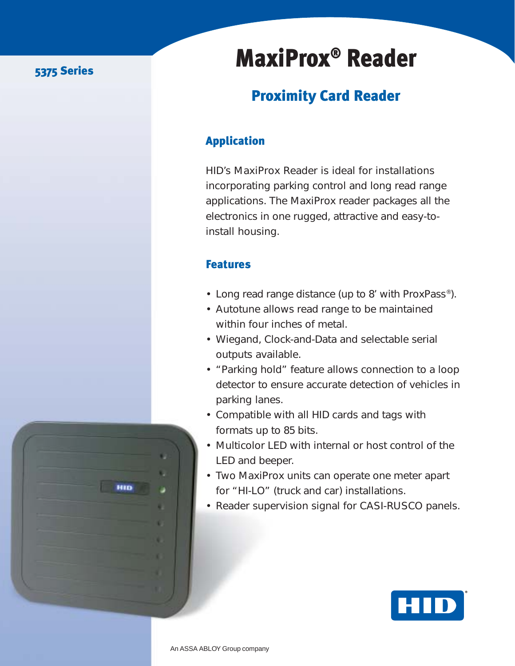### 5375 Series

## MaxiProx® Reader

## Proximity Card Reader

## Application

HID's MaxiProx Reader is ideal for installations incorporating parking control and long read range applications. The MaxiProx reader packages all the electronics in one rugged, attractive and easy-toinstall housing.

#### **Features**

- Long read range distance (up to 8' with ProxPass®).
- Autotune allows read range to be maintained within four inches of metal.
- Wiegand, Clock-and-Data and selectable serial outputs available.
- "Parking hold" feature allows connection to a loop detector to ensure accurate detection of vehicles in parking lanes.
- Compatible with all HID cards and tags with formats up to 85 bits.
- Multicolor LED with internal or host control of the LED and beeper.
- Two MaxiProx units can operate one meter apart for "HI-LO" (truck and car) installations.
- Reader supervision signal for CASI-RUSCO panels.